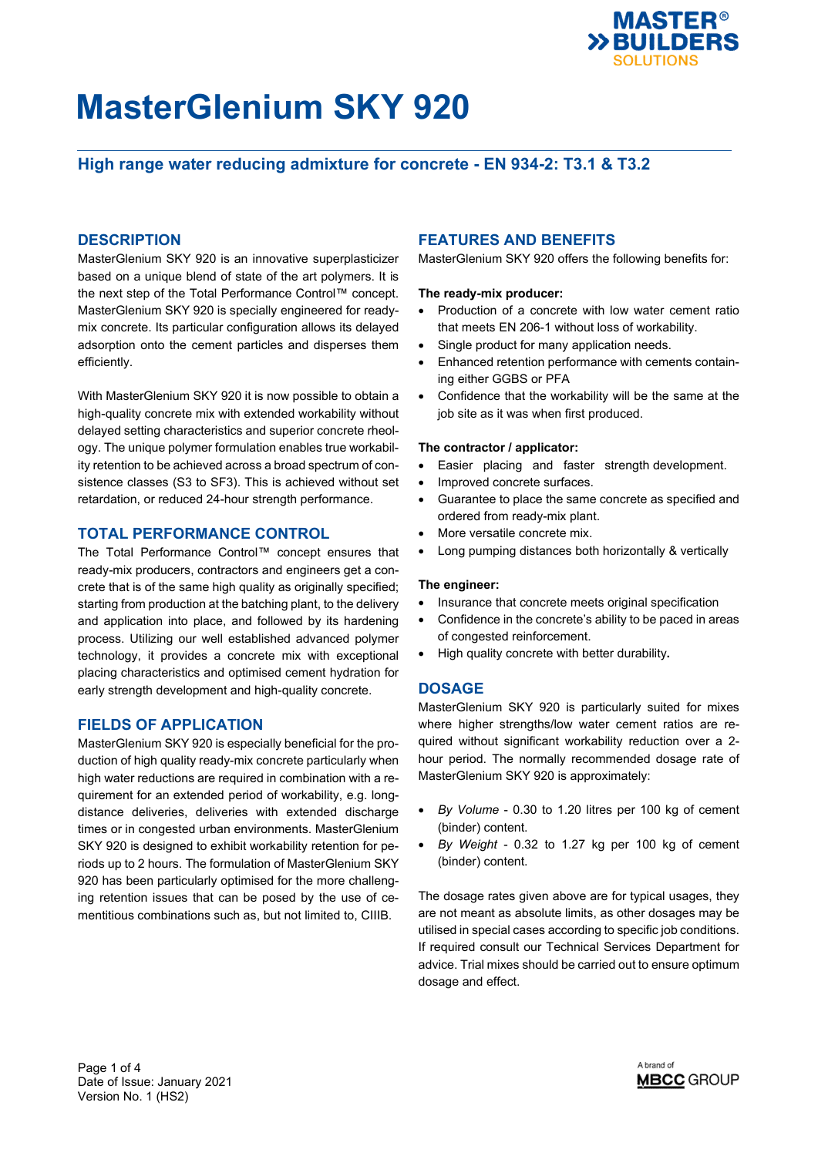

## **High range water reducing admixture for concrete - EN 934-2: T3.1 & T3.2**

### **DESCRIPTION**

MasterGlenium SKY 920 is an innovative superplasticizer based on a unique blend of state of the art polymers. It is the next step of the Total Performance Control™ concept. MasterGlenium SKY 920 is specially engineered for readymix concrete. Its particular configuration allows its delayed adsorption onto the cement particles and disperses them efficiently.

With MasterGlenium SKY 920 it is now possible to obtain a high-quality concrete mix with extended workability without delayed setting characteristics and superior concrete rheology. The unique polymer formulation enables true workability retention to be achieved across a broad spectrum of consistence classes (S3 to SF3). This is achieved without set retardation, or reduced 24-hour strength performance.

### **TOTAL PERFORMANCE CONTROL**

The Total Performance Control™ concept ensures that ready-mix producers, contractors and engineers get a concrete that is of the same high quality as originally specified; starting from production at the batching plant, to the delivery and application into place, and followed by its hardening process. Utilizing our well established advanced polymer technology, it provides a concrete mix with exceptional placing characteristics and optimised cement hydration for early strength development and high-quality concrete.

### **FIELDS OF APPLICATION**

MasterGlenium SKY 920 is especially beneficial for the production of high quality ready-mix concrete particularly when high water reductions are required in combination with a requirement for an extended period of workability, e.g. longdistance deliveries, deliveries with extended discharge times or in congested urban environments. MasterGlenium SKY 920 is designed to exhibit workability retention for periods up to 2 hours. The formulation of MasterGlenium SKY 920 has been particularly optimised for the more challenging retention issues that can be posed by the use of cementitious combinations such as, but not limited to, CIIIB.

### **FEATURES AND BENEFITS**

MasterGlenium SKY 920 offers the following benefits for:

#### **The ready-mix producer:**

- Production of a concrete with low water cement ratio that meets EN 206-1 without loss of workability.
- Single product for many application needs.
- Enhanced retention performance with cements containing either GGBS or PFA
- Confidence that the workability will be the same at the job site as it was when first produced.

#### **The contractor / applicator:**

- Easier placing and faster strength development.
- Improved concrete surfaces.
- Guarantee to place the same concrete as specified and ordered from ready-mix plant.
- More versatile concrete mix.
- Long pumping distances both horizontally & vertically

#### **The engineer:**

- Insurance that concrete meets original specification
- Confidence in the concrete's ability to be paced in areas of congested reinforcement.
- High quality concrete with better durability**.**

#### **DOSAGE**

MasterGlenium SKY 920 is particularly suited for mixes where higher strengths/low water cement ratios are required without significant workability reduction over a 2 hour period. The normally recommended dosage rate of MasterGlenium SKY 920 is approximately:

- *By Volume* 0.30 to 1.20 litres per 100 kg of cement (binder) content.
- *By Weight* 0.32 to 1.27 kg per 100 kg of cement (binder) content.

The dosage rates given above are for typical usages, they are not meant as absolute limits, as other dosages may be utilised in special cases according to specific job conditions. If required consult our Technical Services Department for advice. Trial mixes should be carried out to ensure optimum dosage and effect.

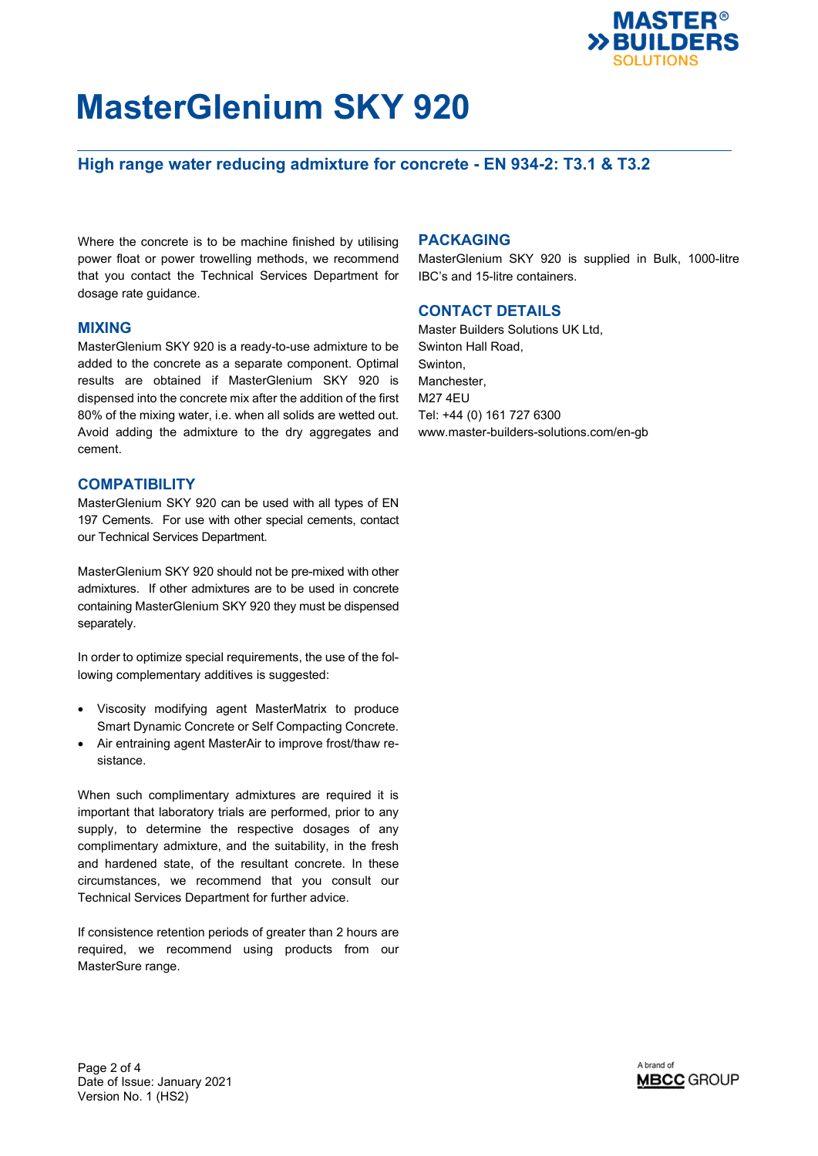

## **High range water reducing admixture for concrete - EN 934-2: T3.1 & T3.2**

Where the concrete is to be machine finished by utilising power float or power trowelling methods, we recommend that you contact the Technical Services Department for dosage rate guidance.

#### **MIXING**

MasterGlenium SKY 920 is a ready-to-use admixture to be added to the concrete as a separate component. Optimal results are obtained if MasterGlenium SKY 920 is dispensed into the concrete mix after the addition of the first 80% of the mixing water, i.e. when all solids are wetted out. Avoid adding the admixture to the dry aggregates and cement.

#### **COMPATIBILITY**

MasterGlenium SKY 920 can be used with all types of EN 197 Cements. For use with other special cements, contact our Technical Services Department.

MasterGlenium SKY 920 should not be pre-mixed with other admixtures. If other admixtures are to be used in concrete containing MasterGlenium SKY 920 they must be dispensed separately.

In order to optimize special requirements, the use of the following complementary additives is suggested:

- Viscosity modifying agent MasterMatrix to produce Smart Dynamic Concrete or Self Compacting Concrete.
- Air entraining agent MasterAir to improve frost/thaw resistance.

When such complimentary admixtures are required it is important that laboratory trials are performed, prior to any supply, to determine the respective dosages of any complimentary admixture, and the suitability, in the fresh and hardened state, of the resultant concrete. In these circumstances, we recommend that you consult our Technical Services Department for further advice.

If consistence retention periods of greater than 2 hours are required, we recommend using products from our MasterSure range.

#### **PACKAGING**

MasterGlenium SKY 920 is supplied in Bulk, 1000-litre IBC's and 15-litre containers.

### **CONTACT DETAILS**

Master Builders Solutions UK Ltd. Swinton Hall Road, Swinton, Manchester, M27 4EU Tel: +44 (0) 161 727 6300 www.master-builders-solutions.com/en-gb

Page 2 of 4 Date of Issue: January 2021 Version No. 1 (HS2)

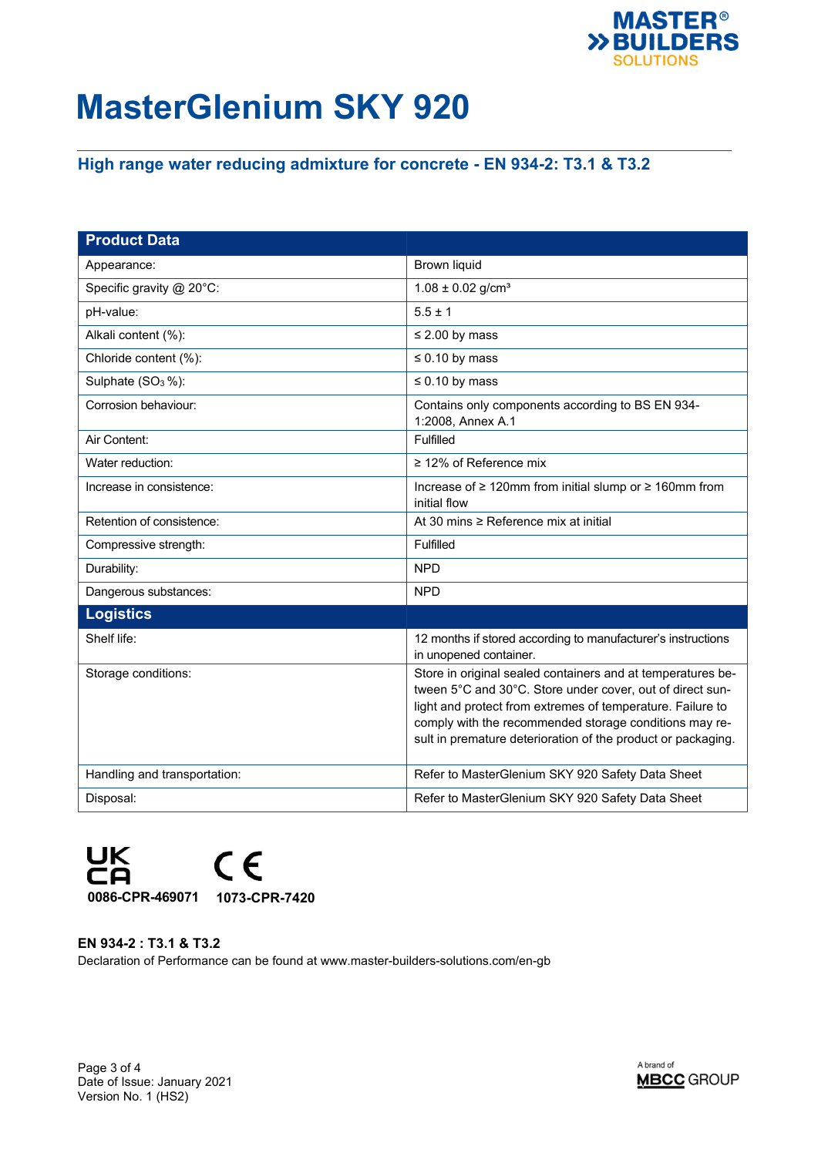

## **High range water reducing admixture for concrete - EN 934-2: T3.1 & T3.2**

| <b>Product Data</b>           |                                                                                                                                                                                                                                                                                                                  |
|-------------------------------|------------------------------------------------------------------------------------------------------------------------------------------------------------------------------------------------------------------------------------------------------------------------------------------------------------------|
| Appearance:                   | Brown liquid                                                                                                                                                                                                                                                                                                     |
| Specific gravity @ 20°C:      | $1.08 \pm 0.02$ g/cm <sup>3</sup>                                                                                                                                                                                                                                                                                |
| pH-value:                     | $5.5 \pm 1$                                                                                                                                                                                                                                                                                                      |
| Alkali content (%):           | $\leq$ 2.00 by mass                                                                                                                                                                                                                                                                                              |
| Chloride content (%):         | $\leq 0.10$ by mass                                                                                                                                                                                                                                                                                              |
| Sulphate (SO <sub>3</sub> %): | $\leq 0.10$ by mass                                                                                                                                                                                                                                                                                              |
| Corrosion behaviour:          | Contains only components according to BS EN 934-<br>1:2008, Annex A.1                                                                                                                                                                                                                                            |
| Air Content:                  | Fulfilled                                                                                                                                                                                                                                                                                                        |
| Water reduction:              | $\geq$ 12% of Reference mix                                                                                                                                                                                                                                                                                      |
| Increase in consistence:      | Increase of ≥ 120mm from initial slump or ≥ 160mm from<br>initial flow                                                                                                                                                                                                                                           |
| Retention of consistence:     | At 30 mins ≥ Reference mix at initial                                                                                                                                                                                                                                                                            |
| Compressive strength:         | Fulfilled                                                                                                                                                                                                                                                                                                        |
| Durability:                   | <b>NPD</b>                                                                                                                                                                                                                                                                                                       |
| Dangerous substances:         | <b>NPD</b>                                                                                                                                                                                                                                                                                                       |
| <b>Logistics</b>              |                                                                                                                                                                                                                                                                                                                  |
| Shelf life:                   | 12 months if stored according to manufacturer's instructions<br>in unopened container.                                                                                                                                                                                                                           |
| Storage conditions:           | Store in original sealed containers and at temperatures be-<br>tween 5°C and 30°C. Store under cover, out of direct sun-<br>light and protect from extremes of temperature. Failure to<br>comply with the recommended storage conditions may re-<br>sult in premature deterioration of the product or packaging. |
| Handling and transportation:  | Refer to MasterGlenium SKY 920 Safety Data Sheet                                                                                                                                                                                                                                                                 |
| Disposal:                     | Refer to MasterGlenium SKY 920 Safety Data Sheet                                                                                                                                                                                                                                                                 |



**EN 934-2 : T3.1 & T3.2** Declaration of Performance can be found at www.master-builders-solutions.com/en-gb